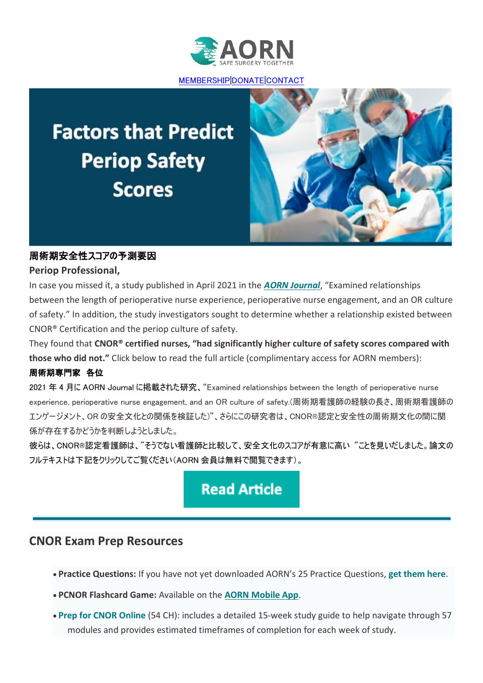

[MEMBERSHIP](https://go.aorn.org/dc/KcPYFWxJMbasAdbPxqbyUqqlOiQ64qXhmckrG9MxryyIzMm8kOhT-L2F_Z4-tRIykt7x1E02wk2MFJEKt155g7XyB2kmai9dtBbtUgM_-OiKLC4kCb2eYgwm7gWkFVD9lf9ahcpCEJ_377krfI38iss1Fv65S4VWFGzHMCreGZwaa9EaBXz-Ho4DtYcsfsvB/NTQ1LUtDUC0xNjMAAAGBS45c5gLvjetIGUZFAjFM6AJ4hbnOplDAdk2WX-WXzNPiQnqhqefdg7OWk1iZjF6pQohwanU=)[|DONATE](https://go.aorn.org/dc/KcPYFWxJMbasAdbPxqbyUvgru0lbTPFieP-u9xe11OJSlrQBMnKsc3QvDKt-DUAKqVNL053tgHY7TlyyzWeDvPio-hk59fyOknenpDiu1Uv0xahv3a0ivQco46SlbEAp_6ySk4aMtvI-0E5o6GsA7_2TcYchl8wBAFFSCrO67Heix8TyNg8fMGbfBZ4V2Ghu/NTQ1LUtDUC0xNjMAAAGBS45c5gLvjetIGUZFAjFM6AJ4hbnOplDAdk2WX-WXzNPiQnqhqefdg7OWk1iZjF6pQohwanU=)[|CONTACT](https://go.aorn.org/dc/KcPYFWxJMbasAdbPxqbyUjA8vBFj-SvKolzf7IusoFXX1Ga3WGflmCt4K5iTom3XBwM_ad-43sUXsWCOJ2UZBADO4LEXGPiu34kAHtXqv6CwJy5i1xYOsHZ81OAMIzm3HhktVS_0diNkna1732z1NbUt1xKkWNvlc9fZxxLquj9kK1f0B3zshx3HEze8dqyQ_qJ2JuKx2Wh_WyVYaE7Hfw==/NTQ1LUtDUC0xNjMAAAGBS45c5gLvjetIGUZFAjFM6AJ4hbnOplDAdk2WX-WXzNPiQnqhqefdg7OWk1iZjF6pQohwanU=)

# **Factors that Predict Periop Safety Scores**



### 周術期安全性スコアの予測要因

#### **Periop Professional,**

In case you missed it, a study published in April 2021 in the *[AORN Journal](https://go.aorn.org/dc/55Rv0Uc4yVfYw87Bd8ZJ8HPvelDk7OFGqPvjDJprizzhReto4ObPKWHtbh2aHbMDIIgNUeUhsBecgWtZx9xVk_XVylkVYWU4gKMk4UqP5_B4P8p0I_I8BBKrMT_t4C5gvvbGO-gO9HO-CEivEa8j5CfqtULYinwuVlw07MDe31ghEGbkj6NhOHwPlZE26p2T/NTQ1LUtDUC0xNjMAAAGFHPPHGJq_BCkvpN00Q4mY9DOuPVla3nCCsbSiw3xsZaUp_-v4Yx-0WRjc38vYf1OXF_jl_IA=)*, "Examined relationships between the length of perioperative nurse experience, perioperative nurse engagement, and an OR culture of safety." In addition, the study investigators sought to determine whether a relationship existed between CNOR® Certification and the periop culture of safety.

They found that **CNOR® certified nurses, "had significantly higher culture of safety scores compared with those who did not."** Click below to read the full article (complimentary access for AORN members):

### 周術期専門家 各位

2021 年 4 月に AORN Journal に掲載された研究、"Examined relationships between the length of perioperative nurse experience, perioperative nurse engagement, and an OR culture of safety.(周術期看護師の経験の長さ、周術期看護師の エンゲージメント、OR の安全文化との関係を検証した)"、さらにこの研究者は、CNOR®認定と安全性の周術期文化の間に関 係が存在するかどうかを判断しようとしました。

彼らは、CNOR®認定看護師は、"そうでない看護師と比較して、安全文化のスコアが有意に高い "ことを見いだしました。論文の フルテキストは下記をクリックしてご覧ください(AORN 会員は無料で閲覧できます)。

# **Read Article**

## **CNOR Exam Prep Resources**

- **Practice Questions:** If you have not yet downloaded AORN's 25 Practice Questions, **[get them here](https://go.aorn.org/dc/KcPYFWxJMbasAdbPxqbyUmCLZy2CgfbrvGz7CIGIlR7d5M4fYgUOSXy1QcdByDiESuZE8_yJeBBFb3Q3y6_O0Xmg-VYzpsKryNDFsHKIRsYORvF-aDx3Q5z9UInrHkiaFNrxpg7l2yUXTOxJkVAuOqkTTjoIcdnKd5HuLcQcYevh5WYPmiHZhRudCeuo6aFj/NTQ1LUtDUC0xNjMAAAGFHPPHGJq_BCkvpN00Q4mY9DOuPVla3nCCsbSiw3xsZaUp_-v4Yx-0WRjc38vYf1OXF_jl_IA=)**.
- **PCNOR Flashcard Game:** Available on the **[AORN Mobile App](https://go.aorn.org/dc/IqJXjSh4I1je8QNAU1duCrvS_iSyxtSgUPJN9IBjOjHk6Vd3xJSqvnxBZI1579YpHS2BrWEAGuW7M0SVwPgZKzXEgnVdNdQ_pPbzBLWlPDCV4Lw5Ljgi6wYoOXstIhlETUlMxzH-FbA2sqO96vDmKNg0_Ip9UcMRYTVuB1anMMc=/NTQ1LUtDUC0xNjMAAAGFHPPHGJq_BCkvpN00Q4mY9DOuPVla3nCCsbSiw3xsZaUp_-v4Yx-0WRjc38vYf1OXF_jl_IA=)**.
- **[Prep for CNOR Online](https://go.aorn.org/dc/KcPYFWxJMbasAdbPxqbyUvBjiCmlR98p8CqB_NV5Kxe2pm0GSWNQ3ruuEdz-xbrd4u7P4Fr15ZXalHx4Dcy-0C4DQ_9bzdNUrw0Jgtq8YbLJPa9nyuwOVBttTfzwSLh3ZaPvncU0Z7rNxyHiHHyKeVn1CrJD6IQXE6DhFK08UapfBlM-7zYHRAjDUS2MqL1zOUpnCZH2MrW4QXxIiA3lUD8qYrIVs8TGbBFM7P42vx-kTzxf_9J86FN99XFvI6Sc/NTQ1LUtDUC0xNjMAAAGFHPPHGJq_BCkvpN00Q4mY9DOuPVla3nCCsbSiw3xsZaUp_-v4Yx-0WRjc38vYf1OXF_jl_IA=)** (54 CH): includes a detailed 15-week study guide to help navigate through 57 modules and provides estimated timeframes of completion for each week of study.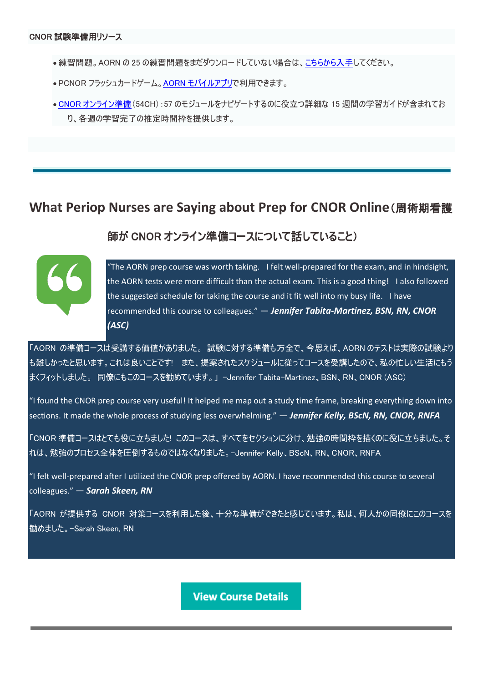- ●練習問題。AORN の 25 の練習問題をまだダウンロードしていない場合は[、こちらから入手し](https://go.aorn.org/dc/KcPYFWxJMbasAdbPxqbyUmCLZy2CgfbrvGz7CIGIlR7d5M4fYgUOSXy1QcdByDiESuZE8_yJeBBFb3Q3y6_O0Xmg-VYzpsKryNDFsHKIRsYORvF-aDx3Q5z9UInrHkiaFNrxpg7l2yUXTOxJkVAuOqkTTjoIcdnKd5HuLcQcYevh5WYPmiHZhRudCeuo6aFj/NTQ1LUtDUC0xNjMAAAGFHPPHGJq_BCkvpN00Q4mY9DOuPVla3nCCsbSiw3xsZaUp_-v4Yx-0WRjc38vYf1OXF_jl_IA=)てください。
- PCNOR フラッシュカードゲーム。AORN [モバイルアプリで](https://go.aorn.org/dc/IqJXjSh4I1je8QNAU1duCrvS_iSyxtSgUPJN9IBjOjHk6Vd3xJSqvnxBZI1579YpHS2BrWEAGuW7M0SVwPgZKzXEgnVdNdQ_pPbzBLWlPDCV4Lw5Ljgi6wYoOXstIhlETUlMxzH-FbA2sqO96vDmKNg0_Ip9UcMRYTVuB1anMMc=/NTQ1LUtDUC0xNjMAAAGFHPPHGJq_BCkvpN00Q4mY9DOuPVla3nCCsbSiw3xsZaUp_-v4Yx-0WRjc38vYf1OXF_jl_IA=)利用できます。
- CNOR [オンライン準備\(](https://go.aorn.org/dc/KcPYFWxJMbasAdbPxqbyUvBjiCmlR98p8CqB_NV5Kxe2pm0GSWNQ3ruuEdz-xbrd4u7P4Fr15ZXalHx4Dcy-0C4DQ_9bzdNUrw0Jgtq8YbLJPa9nyuwOVBttTfzwSLh3ZaPvncU0Z7rNxyHiHHyKeVn1CrJD6IQXE6DhFK08UapfBlM-7zYHRAjDUS2MqL1zOUpnCZH2MrW4QXxIiA3lUD8qYrIVs8TGbBFM7P42vx-kTzxf_9J86FN99XFvI6Sc/NTQ1LUtDUC0xNjMAAAGFHPPHGJq_BCkvpN00Q4mY9DOuPVla3nCCsbSiw3xsZaUp_-v4Yx-0WRjc38vYf1OXF_jl_IA=)54CH):57 のモジュールをナビゲートするのに役立つ詳細な 15 週間の学習ガイドが含まれてお り、各週の学習完了の推定時間枠を提供します。

# **What Periop Nurses are Saying about Prep for CNOR Online**(周術期看護

## 師が CNOR オンライン準備コースについて話していること)



"The AORN prep course was worth taking. I felt well-prepared for the exam, and in hindsight, the AORN tests were more difficult than the actual exam. This is a good thing! I also followed the suggested schedule for taking the course and it fit well into my busy life. I have recommended this course to colleagues." — *Jennifer Tabita-Martinez, BSN, RN, CNOR (ASC)*

「AORN の準備コースは受講する価値がありました。 試験に対する準備も万全で、今思えば、AORN のテストは実際の試験より も難しかったと思います。これは良いことです! また、提案されたスケジュールに従ってコースを受講したので、私の忙しい生活にもう まくフィットしました。 同僚にもこのコースを勧めています。」 -Jennifer Tabita-Martinez、BSN、RN、CNOR (ASC)

"I found the CNOR prep course very useful! It helped me map out a study time frame, breaking everything down into sections. It made the whole process of studying less overwhelming." — *Jennifer Kelly, BScN, RN, CNOR, RNFA*

「CNOR 準備コースはとても役に立ちました! このコースは、すべてをセクションに分け、勉強の時間枠を描くのに役に立ちました。そ れは、勉強のプロセス全体を圧倒するものではなくなりました。-Jennifer Kelly、BScN、RN、CNOR、RNFA

"I felt well-prepared after I utilized the CNOR prep offered by AORN. I have recommended this course to several colleagues." — *Sarah Skeen, RN*

「AORN が提供する CNOR 対策コースを利用した後、十分な準備ができたと感じています。私は、何人かの同僚にこのコースを 勧めました。-Sarah Skeen, RN

**View Course Details**